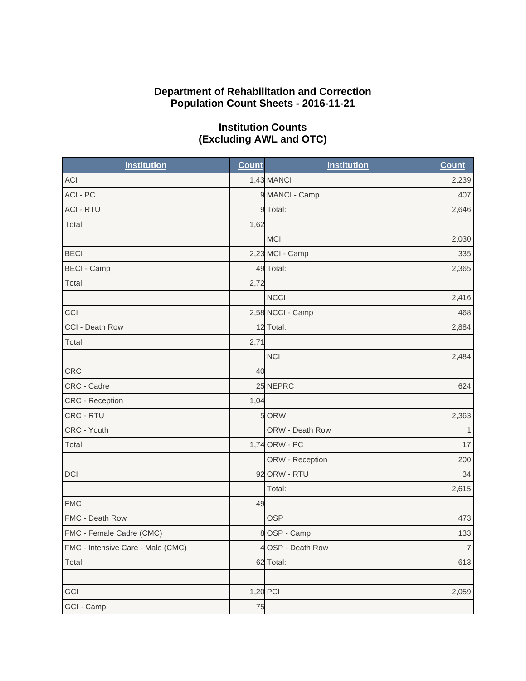#### **Department of Rehabilitation and Correction Population Count Sheets - 2016-11-21**

| <b>Institution</b>                | <b>Count</b> | <b>Institution</b> | <b>Count</b>   |
|-----------------------------------|--------------|--------------------|----------------|
| ACI                               |              | 1,43 MANCI         | 2,239          |
| ACI - PC                          |              | 9 MANCI - Camp     | 407            |
| <b>ACI - RTU</b>                  |              | 9 Total:           | 2,646          |
| Total:                            | 1,62         |                    |                |
|                                   |              | MCI                | 2,030          |
| <b>BECI</b>                       |              | 2,23 MCI - Camp    | 335            |
| <b>BECI - Camp</b>                |              | 49 Total:          | 2,365          |
| Total:                            | 2,72         |                    |                |
|                                   |              | <b>NCCI</b>        | 2,416          |
| CCI                               |              | 2,58 NCCI - Camp   | 468            |
| CCI - Death Row                   |              | 12 Total:          | 2,884          |
| Total:                            | 2,71         |                    |                |
|                                   |              | <b>NCI</b>         | 2,484          |
| <b>CRC</b>                        | 40           |                    |                |
| CRC - Cadre                       |              | 25 NEPRC           | 624            |
| <b>CRC</b> - Reception            | 1,04         |                    |                |
| CRC - RTU                         |              | 5 ORW              | 2,363          |
| CRC - Youth                       |              | ORW - Death Row    | $\mathbf{1}$   |
| Total:                            |              | 1,74 ORW - PC      | 17             |
|                                   |              | ORW - Reception    | 200            |
| <b>DCI</b>                        |              | 92 ORW - RTU       | 34             |
|                                   |              | Total:             | 2,615          |
| <b>FMC</b>                        | 49           |                    |                |
| FMC - Death Row                   |              | <b>OSP</b>         | 473            |
| FMC - Female Cadre (CMC)          |              | 8 OSP - Camp       | 133            |
| FMC - Intensive Care - Male (CMC) |              | 4 OSP - Death Row  | $\overline{7}$ |
| Total:                            |              | 62 Total:          | 613            |
|                                   |              |                    |                |
| GCI                               |              | 1,20 PCI           | 2,059          |
| GCI - Camp                        | 75           |                    |                |

# **Institution Counts (Excluding AWL and OTC)**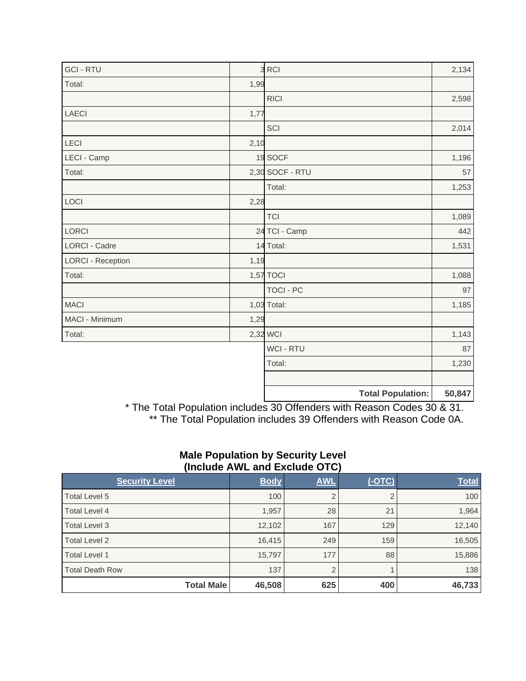| <b>GCI - RTU</b>         |      | 3 RCI                    | 2,134  |
|--------------------------|------|--------------------------|--------|
| Total:                   | 1,99 |                          |        |
|                          |      | <b>RICI</b>              | 2,598  |
| <b>LAECI</b>             | 1,77 |                          |        |
|                          |      | SCI                      | 2,014  |
| LECI                     | 2,10 |                          |        |
| LECI - Camp              |      | 19 SOCF                  | 1,196  |
| Total:                   |      | 2,30 SOCF - RTU          | 57     |
|                          |      | Total:                   | 1,253  |
| LOCI                     | 2,28 |                          |        |
|                          |      | <b>TCI</b>               | 1,089  |
| LORCI                    |      | 24 TCI - Camp            | 442    |
| <b>LORCI - Cadre</b>     |      | 14 Total:                | 1,531  |
| <b>LORCI - Reception</b> | 1,19 |                          |        |
| Total:                   |      | 1,57 TOCI                | 1,088  |
|                          |      | <b>TOCI - PC</b>         | 97     |
| <b>MACI</b>              |      | 1,03 Total:              | 1,185  |
| MACI - Minimum           | 1,29 |                          |        |
| Total:                   |      | 2,32 WCI                 | 1,143  |
|                          |      | <b>WCI - RTU</b>         | 87     |
|                          |      | Total:                   | 1,230  |
|                          |      |                          |        |
|                          |      | <b>Total Population:</b> | 50,847 |

\* The Total Population includes 30 Offenders with Reason Codes 30 & 31. \*\* The Total Population includes 39 Offenders with Reason Code 0A.

## **Male Population by Security Level (Include AWL and Exclude OTC)**

| <b>Security Level</b>  | <b>Body</b> | <b>AWL</b>     | $(-OTC)$ | <b>Total</b> |
|------------------------|-------------|----------------|----------|--------------|
| Total Level 5          | 100         | $\overline{2}$ |          | 100          |
| <b>Total Level 4</b>   | 1,957       | 28             | 21       | 1,964        |
| Total Level 3          | 12,102      | 167            | 129      | 12,140       |
| Total Level 2          | 16,415      | 249            | 159      | 16,505       |
| Total Level 1          | 15,797      | 177            | 88       | 15,886       |
| <b>Total Death Row</b> | 137         | $\overline{2}$ |          | 138          |
| <b>Total Male</b>      | 46,508      | 625            | 400      | 46,733       |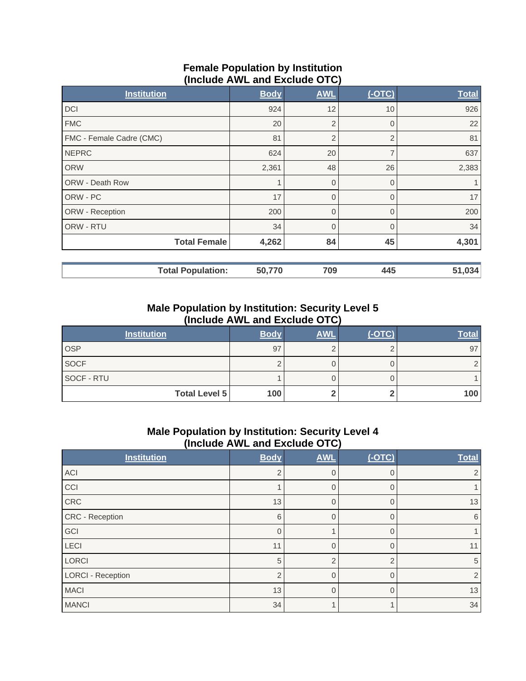## **Female Population by Institution (Include AWL and Exclude OTC)**

| <b>Institution</b>       | <b>Body</b> | <b>AWL</b>     | $($ -OTC $)$   | <b>Total</b> |
|--------------------------|-------------|----------------|----------------|--------------|
| <b>DCI</b>               | 924         | 12             | 10             | 926          |
| <b>FMC</b>               | 20          | $\overline{2}$ | $\Omega$       | 22           |
| FMC - Female Cadre (CMC) | 81          | $\overline{2}$ | $\overline{2}$ | 81           |
| <b>NEPRC</b>             | 624         | 20             | ⇁              | 637          |
| <b>ORW</b>               | 2,361       | 48             | 26             | 2,383        |
| <b>ORW - Death Row</b>   | 1           | $\overline{0}$ | $\Omega$       |              |
| ORW - PC                 | 17          | $\mathbf 0$    | $\Omega$       | 17           |
| ORW - Reception          | 200         | $\overline{0}$ | $\Omega$       | 200          |
| ORW - RTU                | 34          | $\overline{0}$ |                | 34           |
| <b>Total Female</b>      | 4,262       | 84             | 45             | 4,301        |
| <b>Total Population:</b> | 50,770      | 709            | 445            | 51,034       |

# **Male Population by Institution: Security Level 5 (Include AWL and Exclude OTC)**

| <b>Institution</b>   | <b>Body</b> | <b>AWL</b> | $(-OTC)$ | <b>Total</b> |
|----------------------|-------------|------------|----------|--------------|
| <b>OSP</b>           | 97          |            |          | 97           |
| <b>SOCF</b>          |             |            |          |              |
| SOCF - RTU           |             |            |          |              |
| <b>Total Level 5</b> | 100         |            |          | 100          |

# **Male Population by Institution: Security Level 4 (Include AWL and Exclude OTC)**

| <b>Institution</b>       | <b>Body</b>    | <b>AWL</b>     | $($ -OTC $)$ | <b>Total</b> |
|--------------------------|----------------|----------------|--------------|--------------|
| ACI                      | $\overline{2}$ | $\overline{0}$ |              | 2            |
| CCI                      |                | $\Omega$       |              |              |
| CRC                      | 13             | $\Omega$       |              | 13           |
| CRC - Reception          | 6              | $\overline{0}$ |              | 6            |
| GCI                      | $\Omega$       |                |              |              |
| LECI                     | 11             | $\Omega$       |              | 11           |
| <b>LORCI</b>             | 5              | $\overline{2}$ |              | 5            |
| <b>LORCI - Reception</b> | $\overline{2}$ | $\Omega$       |              | 2            |
| <b>MACI</b>              | 13             | $\overline{0}$ |              | 13           |
| <b>MANCI</b>             | 34             |                |              | 34           |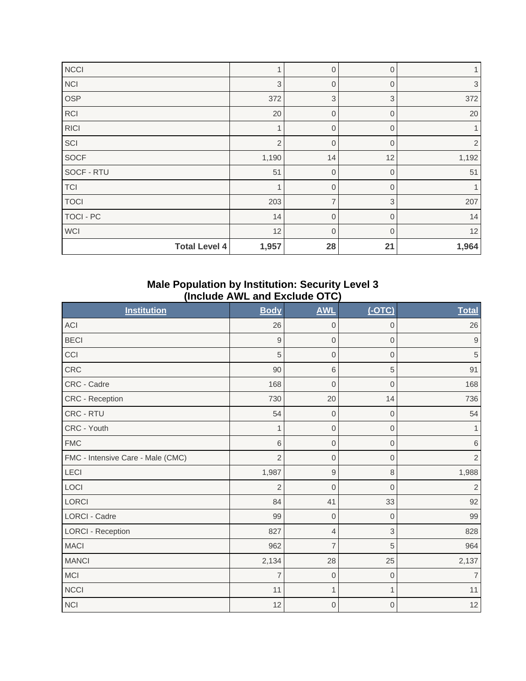| NCCI                 |                | $\mathbf 0$    | $\Omega$       |                |
|----------------------|----------------|----------------|----------------|----------------|
| <b>NCI</b>           | 3              | $\overline{0}$ | $\overline{0}$ | 3              |
| OSP                  | 372            | $\sqrt{3}$     | $\sqrt{3}$     | 372            |
| <b>RCI</b>           | 20             | $\overline{0}$ | $\mathbf 0$    | 20             |
| <b>RICI</b>          |                | $\overline{0}$ | $\mathbf 0$    |                |
| SCI                  | $\overline{2}$ | $\mathbf 0$    | $\Omega$       | $\overline{2}$ |
| <b>SOCF</b>          | 1,190          | 14             | 12             | 1,192          |
| SOCF - RTU           | 51             | $\mathbf 0$    | $\overline{0}$ | 51             |
| TCI                  |                | $\mathbf 0$    | $\overline{0}$ |                |
| <b>TOCI</b>          | 203            | $\overline{7}$ | 3              | 207            |
| TOCI - PC            | 14             | $\mathbf 0$    | $\mathbf 0$    | 14             |
| <b>WCI</b>           | 12             | $\mathbf 0$    | $\Omega$       | 12             |
| <b>Total Level 4</b> | 1,957          | 28             | 21             | 1,964          |

#### **Male Population by Institution: Security Level 3 (Include AWL and Exclude OTC)**

| <b>Institution</b>                | <b>Body</b>    | <b>AWL</b>       | $($ -OTC $)$   | <b>Total</b>   |
|-----------------------------------|----------------|------------------|----------------|----------------|
| <b>ACI</b>                        | 26             | $\boldsymbol{0}$ | $\mathbf 0$    | 26             |
| <b>BECI</b>                       | 9              | $\boldsymbol{0}$ | $\overline{0}$ | 9              |
| CCI                               | 5              | $\boldsymbol{0}$ | $\overline{0}$ | $\sqrt{5}$     |
| CRC                               | 90             | $6\,$            | 5              | 91             |
| CRC - Cadre                       | 168            | $\mathbf 0$      | $\mathbf 0$    | 168            |
| <b>CRC - Reception</b>            | 730            | 20               | 14             | 736            |
| CRC - RTU                         | 54             | $\boldsymbol{0}$ | $\overline{0}$ | 54             |
| CRC - Youth                       | 1              | $\boldsymbol{0}$ | $\mathbf 0$    | 1              |
| <b>FMC</b>                        | 6              | $\boldsymbol{0}$ | $\mathbf 0$    | $\,6\,$        |
| FMC - Intensive Care - Male (CMC) | $\overline{2}$ | $\mathbf 0$      | 0              | $\sqrt{2}$     |
| LECI                              | 1,987          | $\mathsf 9$      | 8              | 1,988          |
| LOCI                              | $\overline{2}$ | $\mathbf 0$      | $\overline{0}$ | $\overline{2}$ |
| <b>LORCI</b>                      | 84             | 41               | 33             | 92             |
| <b>LORCI - Cadre</b>              | 99             | $\boldsymbol{0}$ | $\mathbf 0$    | 99             |
| <b>LORCI - Reception</b>          | 827            | 4                | 3              | 828            |
| <b>MACI</b>                       | 962            | $\overline{7}$   | 5              | 964            |
| <b>MANCI</b>                      | 2,134          | 28               | 25             | 2,137          |
| <b>MCI</b>                        | $\overline{7}$ | $\mathbf 0$      | $\mathbf{0}$   | $\overline{7}$ |
| <b>NCCI</b>                       | 11             | $\mathbf{1}$     | 1              | 11             |
| <b>NCI</b>                        | 12             | $\mathbf 0$      | $\mathbf 0$    | 12             |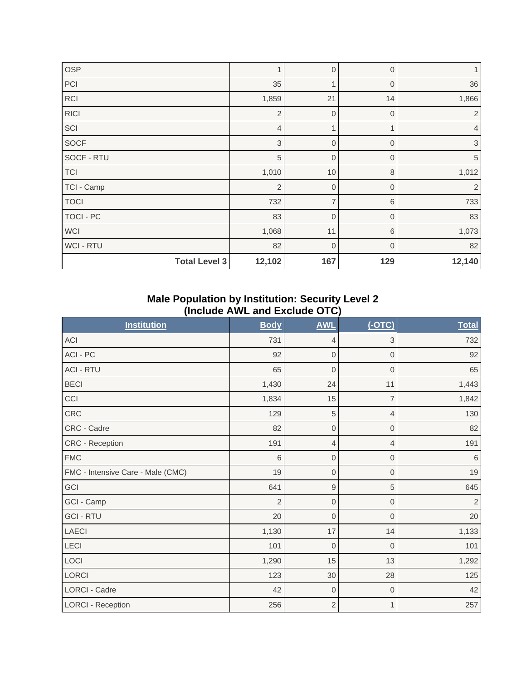| <b>OSP</b>           | 1              | $\mathbf 0$    | $\mathbf 0$    | 1              |
|----------------------|----------------|----------------|----------------|----------------|
| PCI                  | 35             | $\mathbf{1}$   | $\mathbf{0}$   | 36             |
| <b>RCI</b>           | 1,859          | 21             | 14             | 1,866          |
| <b>RICI</b>          | $\overline{2}$ | $\overline{0}$ | $\overline{0}$ | 2              |
| SCI                  | $\overline{4}$ | $\mathbf{1}$   |                | $\overline{4}$ |
| <b>SOCF</b>          | 3              | $\mathbf 0$    | $\Omega$       | 3              |
| SOCF - RTU           | 5              | $\overline{0}$ | $\Omega$       | $\overline{5}$ |
| TCI                  | 1,010          | 10             | $\,8\,$        | 1,012          |
| TCI - Camp           | $\overline{2}$ | $\mathbf{0}$   | $\overline{0}$ | $\overline{2}$ |
| <b>TOCI</b>          | 732            | $\overline{7}$ | 6              | 733            |
| TOCI - PC            | 83             | $\mathbf 0$    | $\overline{0}$ | 83             |
| <b>WCI</b>           | 1,068          | 11             | $6\,$          | 1,073          |
| WCI - RTU            | 82             | $\overline{0}$ | $\Omega$       | 82             |
| <b>Total Level 3</b> | 12,102         | 167            | 129            | 12,140         |

#### **Male Population by Institution: Security Level 2 (Include AWL and Exclude OTC)**

| <b>Institution</b>                | <b>Body</b>    | <b>AWL</b>  | $(-OTC)$            | <b>Total</b>   |
|-----------------------------------|----------------|-------------|---------------------|----------------|
| ACI                               | 731            | 4           | 3                   | 732            |
| ACI - PC                          | 92             | $\mathbf 0$ | $\boldsymbol{0}$    | 92             |
| <b>ACI - RTU</b>                  | 65             | $\mathbf 0$ | $\mathbf 0$         | 65             |
| <b>BECI</b>                       | 1,430          | 24          | 11                  | 1,443          |
| CCI                               | 1,834          | 15          | $\overline{7}$      | 1,842          |
| CRC                               | 129            | 5           | 4                   | 130            |
| CRC - Cadre                       | 82             | $\mathbf 0$ | $\overline{0}$      | 82             |
| <b>CRC - Reception</b>            | 191            | 4           | 4                   | 191            |
| <b>FMC</b>                        | 6              | $\mathbf 0$ | $\overline{0}$      | 6              |
| FMC - Intensive Care - Male (CMC) | 19             | 0           | $\mathsf{O}\xspace$ | $19$           |
| GCI                               | 641            | 9           | 5                   | 645            |
| GCI - Camp                        | $\overline{2}$ | $\mathbf 0$ | $\overline{0}$      | $\overline{2}$ |
| <b>GCI - RTU</b>                  | 20             | $\mathbf 0$ | $\mathbf 0$         | 20             |
| LAECI                             | 1,130          | 17          | 14                  | 1,133          |
| LECI                              | 101            | $\mathbf 0$ | $\overline{0}$      | 101            |
| LOCI                              | 1,290          | 15          | 13                  | 1,292          |
| <b>LORCI</b>                      | 123            | 30          | 28                  | 125            |
| LORCI - Cadre                     | 42             | $\mathbf 0$ | $\mathbf 0$         | 42             |
| <b>LORCI - Reception</b>          | 256            | $\sqrt{2}$  | 1                   | 257            |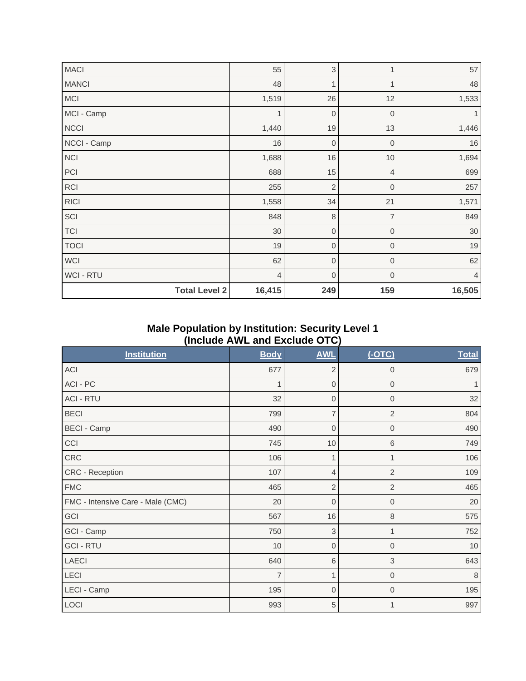| <b>MACI</b>          | 55             | 3              | 1              | 57     |
|----------------------|----------------|----------------|----------------|--------|
| <b>MANCI</b>         | 48             | $\mathbf{1}$   | $\mathbf 1$    | 48     |
| <b>MCI</b>           | 1,519          | 26             | 12             | 1,533  |
| MCI - Camp           | 1              | $\mathbf 0$    | $\mathbf 0$    |        |
| NCCI                 | 1,440          | 19             | 13             | 1,446  |
| NCCI - Camp          | 16             | $\mathbf{0}$   | $\mathbf 0$    | 16     |
| <b>NCI</b>           | 1,688          | 16             | 10             | 1,694  |
| PCI                  | 688            | 15             | $\overline{4}$ | 699    |
| <b>RCI</b>           | 255            | $\overline{2}$ | $\overline{0}$ | 257    |
| <b>RICI</b>          | 1,558          | 34             | 21             | 1,571  |
| SCI                  | 848            | 8              | $\overline{7}$ | 849    |
| <b>TCI</b>           | 30             | 0              | $\mathbf{0}$   | $30\,$ |
| <b>TOCI</b>          | 19             | $\mathbf 0$    | $\mathbf 0$    | 19     |
| <b>WCI</b>           | 62             | $\mathbf 0$    | $\mathbf 0$    | 62     |
| <b>WCI-RTU</b>       | $\overline{4}$ | $\mathbf 0$    | $\Omega$       | 4      |
| <b>Total Level 2</b> | 16,415         | 249            | 159            | 16,505 |

## **Male Population by Institution: Security Level 1 (Include AWL and Exclude OTC)**

| <b>Institution</b>                | <b>Body</b>    | <b>AWL</b>     | $(-OTC)$       | <b>Total</b> |
|-----------------------------------|----------------|----------------|----------------|--------------|
| <b>ACI</b>                        | 677            | $\overline{2}$ | $\mathbf{0}$   | 679          |
| ACI - PC                          | 1              | $\mathbf 0$    | $\mathbf{0}$   |              |
| <b>ACI - RTU</b>                  | 32             | $\mathbf 0$    | $\Omega$       | 32           |
| <b>BECI</b>                       | 799            | $\overline{7}$ | $\overline{2}$ | 804          |
| <b>BECI - Camp</b>                | 490            | $\mathbf 0$    | $\overline{0}$ | 490          |
| CCI                               | 745            | 10             | 6              | 749          |
| <b>CRC</b>                        | 106            | 1              |                | 106          |
| <b>CRC - Reception</b>            | 107            | 4              | $\overline{2}$ | 109          |
| <b>FMC</b>                        | 465            | $\overline{2}$ | $\overline{2}$ | 465          |
| FMC - Intensive Care - Male (CMC) | 20             | $\mathbf 0$    | $\mathbf{0}$   | 20           |
| GCI                               | 567            | 16             | $\,8\,$        | 575          |
| GCI - Camp                        | 750            | 3              |                | 752          |
| <b>GCI - RTU</b>                  | 10             | $\overline{0}$ | $\overline{0}$ | 10           |
| <b>LAECI</b>                      | 640            | 6              | 3              | 643          |
| LECI                              | $\overline{7}$ | 1              | $\mathbf{0}$   | 8            |
| LECI - Camp                       | 195            | $\mathbf 0$    | $\mathbf{0}$   | 195          |
| LOCI                              | 993            | 5              | $\mathbf{1}$   | 997          |